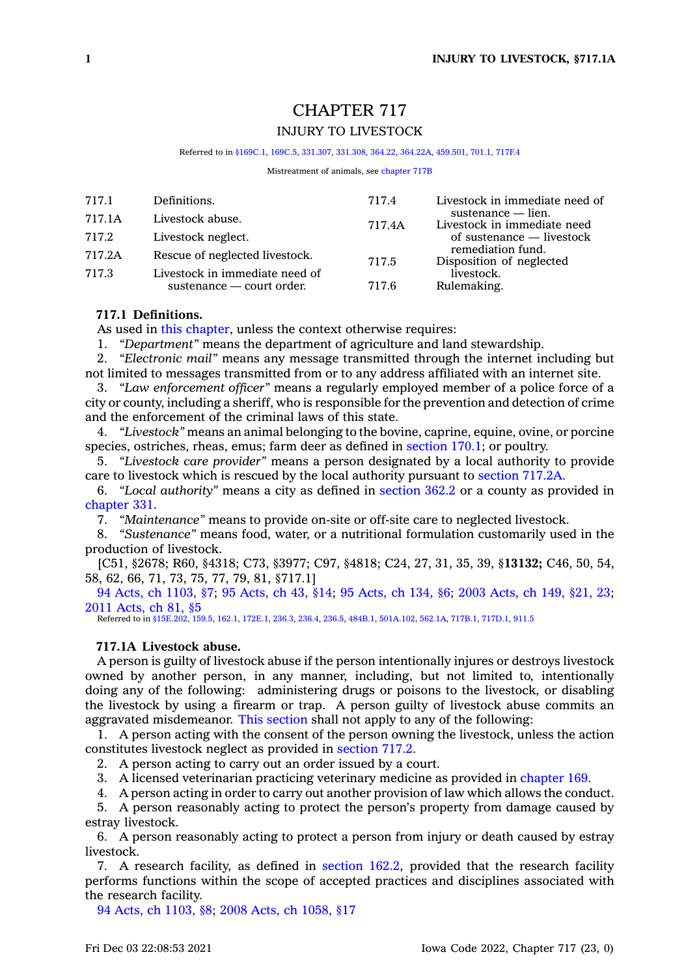# CHAPTER 717 INJURY TO LIVESTOCK

Referred to in [§169C.1,](https://www.legis.iowa.gov/docs/code/169C.1.pdf) [169C.5](https://www.legis.iowa.gov/docs/code/169C.5.pdf), [331.307,](https://www.legis.iowa.gov/docs/code/331.307.pdf) [331.308](https://www.legis.iowa.gov/docs/code/331.308.pdf), [364.22,](https://www.legis.iowa.gov/docs/code/364.22.pdf) [364.22A](https://www.legis.iowa.gov/docs/code/364.22A.pdf), [459.501](https://www.legis.iowa.gov/docs/code/459.501.pdf), [701.1](https://www.legis.iowa.gov/docs/code/701.1.pdf), [717F.4](https://www.legis.iowa.gov/docs/code/717F.4.pdf)

Mistreatment of animals, see [chapter](https://www.legis.iowa.gov/docs/code//717B.pdf) 717B

| 717.1  | Definitions.                   | 717.4  | Livestock in immediate need of                                                                                                  |
|--------|--------------------------------|--------|---------------------------------------------------------------------------------------------------------------------------------|
| 717.1A | Livestock abuse.               | 717.4A | sustenance — lien.<br>Livestock in immediate need<br>of sustenance — livestock<br>remediation fund.<br>Disposition of neglected |
| 717.2  | Livestock neglect.             |        |                                                                                                                                 |
| 717.2A | Rescue of neglected livestock. | 717.5  |                                                                                                                                 |
| 717.3  | Livestock in immediate need of |        | livestock.                                                                                                                      |
|        | sustenance — court order.      | 717.6  | Rulemaking.                                                                                                                     |

# **717.1 Definitions.**

As used in this [chapter](https://www.legis.iowa.gov/docs/code//717.pdf), unless the context otherwise requires:

1. *"Department"* means the department of agriculture and land stewardship.

2. *"Electronic mail"* means any message transmitted through the internet including but not limited to messages transmitted from or to any address affiliated with an internet site.

3. *"Law enforcement officer"* means <sup>a</sup> regularly employed member of <sup>a</sup> police force of <sup>a</sup> city or county, including <sup>a</sup> sheriff, who is responsible for the prevention and detection of crime and the enforcement of the criminal laws of this state.

4. *"Livestock"* means an animal belonging to the bovine, caprine, equine, ovine, or porcine species, ostriches, rheas, emus; farm deer as defined in [section](https://www.legis.iowa.gov/docs/code/170.1.pdf) 170.1; or poultry.

5. *"Livestock care provider"* means <sup>a</sup> person designated by <sup>a</sup> local authority to provide care to livestock which is rescued by the local authority pursuant to [section](https://www.legis.iowa.gov/docs/code/717.2A.pdf) 717.2A.

6. *"Local authority"* means <sup>a</sup> city as defined in [section](https://www.legis.iowa.gov/docs/code/362.2.pdf) 362.2 or <sup>a</sup> county as provided in [chapter](https://www.legis.iowa.gov/docs/code//331.pdf) 331.

7. *"Maintenance"* means to provide on-site or off-site care to neglected livestock.

8. *"Sustenance"* means food, water, or <sup>a</sup> nutritional formulation customarily used in the production of livestock.

[C51, §2678; R60, §4318; C73, §3977; C97, §4818; C24, 27, 31, 35, 39, §**13132;** C46, 50, 54, 58, 62, 66, 71, 73, 75, 77, 79, 81, §717.1]

94 Acts, ch [1103,](https://www.legis.iowa.gov/docs/acts/1994/CH1103.pdf) §7; 95 [Acts,](https://www.legis.iowa.gov/docs/acts/95/CH0043.pdf) ch 43, §14; 95 [Acts,](https://www.legis.iowa.gov/docs/acts//CH0000.pdf) ch 134, §6; 2003 [Acts,](https://www.legis.iowa.gov/docs/acts/2003/CH0149.pdf) ch 149, §21, 23; 2011 [Acts,](https://www.legis.iowa.gov/docs/acts/2011/CH0081.pdf) ch 81, §5

Referred to in [§15E.202](https://www.legis.iowa.gov/docs/code/15E.202.pdf), [159.5](https://www.legis.iowa.gov/docs/code/159.5.pdf), [162.1](https://www.legis.iowa.gov/docs/code/162.1.pdf), [172E.1,](https://www.legis.iowa.gov/docs/code/172E.1.pdf) [236.3](https://www.legis.iowa.gov/docs/code/236.3.pdf), [236.4](https://www.legis.iowa.gov/docs/code/236.4.pdf), [236.5](https://www.legis.iowa.gov/docs/code/236.5.pdf), [484B.1](https://www.legis.iowa.gov/docs/code/484B.1.pdf), [501A.102](https://www.legis.iowa.gov/docs/code/501A.102.pdf), [562.1A](https://www.legis.iowa.gov/docs/code/562.1A.pdf), [717B.1](https://www.legis.iowa.gov/docs/code/717B.1.pdf), [717D.1](https://www.legis.iowa.gov/docs/code/717D.1.pdf), [911.5](https://www.legis.iowa.gov/docs/code/911.5.pdf)

# **717.1A Livestock abuse.**

A person is guilty of livestock abuse if the person intentionally injures or destroys livestock owned by another person, in any manner, including, but not limited to, intentionally doing any of the following: administering drugs or poisons to the livestock, or disabling the livestock by using <sup>a</sup> firearm or trap. A person guilty of livestock abuse commits an aggravated misdemeanor. This [section](https://www.legis.iowa.gov/docs/code/717.1A.pdf) shall not apply to any of the following:

1. A person acting with the consent of the person owning the livestock, unless the action constitutes livestock neglect as provided in [section](https://www.legis.iowa.gov/docs/code/717.2.pdf) 717.2.

2. A person acting to carry out an order issued by <sup>a</sup> court.

3. A licensed veterinarian practicing veterinary medicine as provided in [chapter](https://www.legis.iowa.gov/docs/code//169.pdf) 169.

4. A person acting in order to carry out another provision of law which allows the conduct.

5. A person reasonably acting to protect the person's property from damage caused by estray livestock.

6. A person reasonably acting to protect <sup>a</sup> person from injury or death caused by estray livestock.

7. A research facility, as defined in [section](https://www.legis.iowa.gov/docs/code/162.2.pdf) 162.2, provided that the research facility performs functions within the scope of accepted practices and disciplines associated with the research facility.

94 Acts, ch [1103,](https://www.legis.iowa.gov/docs/acts/1994/CH1103.pdf) §8; 2008 Acts, ch [1058,](https://www.legis.iowa.gov/docs/acts/2008/CH1058.pdf) §17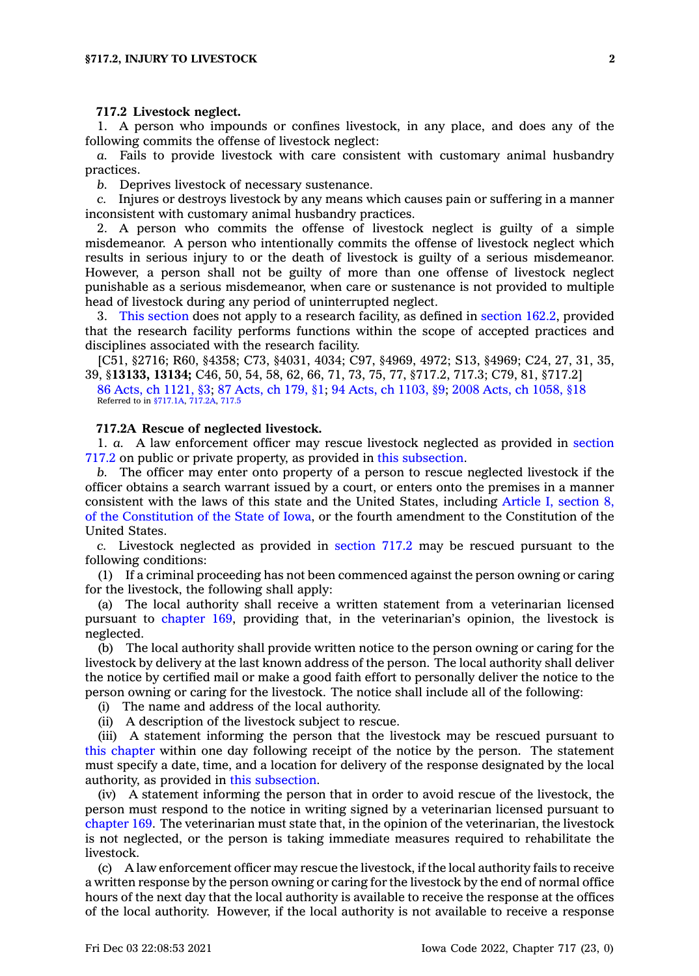#### **717.2 Livestock neglect.**

1. A person who impounds or confines livestock, in any place, and does any of the following commits the offense of livestock neglect:

*a.* Fails to provide livestock with care consistent with customary animal husbandry practices.

*b.* Deprives livestock of necessary sustenance.

*c.* Injures or destroys livestock by any means which causes pain or suffering in <sup>a</sup> manner inconsistent with customary animal husbandry practices.

2. A person who commits the offense of livestock neglect is guilty of <sup>a</sup> simple misdemeanor. A person who intentionally commits the offense of livestock neglect which results in serious injury to or the death of livestock is guilty of <sup>a</sup> serious misdemeanor. However, <sup>a</sup> person shall not be guilty of more than one offense of livestock neglect punishable as <sup>a</sup> serious misdemeanor, when care or sustenance is not provided to multiple head of livestock during any period of uninterrupted neglect.

3. This [section](https://www.legis.iowa.gov/docs/code/717.2.pdf) does not apply to <sup>a</sup> research facility, as defined in [section](https://www.legis.iowa.gov/docs/code/162.2.pdf) 162.2, provided that the research facility performs functions within the scope of accepted practices and disciplines associated with the research facility.

[C51, §2716; R60, §4358; C73, §4031, 4034; C97, §4969, 4972; S13, §4969; C24, 27, 31, 35, 39, §**13133, 13134;** C46, 50, 54, 58, 62, 66, 71, 73, 75, 77, §717.2, 717.3; C79, 81, §717.2]

86 Acts, ch [1121,](https://www.legis.iowa.gov/docs/acts/1986/CH1121.pdf) §3; 87 [Acts,](https://www.legis.iowa.gov/docs/acts/1987/CH0179.pdf) ch 179, §1; 94 Acts, ch [1103,](https://www.legis.iowa.gov/docs/acts/1994/CH1103.pdf) §9; 2008 Acts, ch [1058,](https://www.legis.iowa.gov/docs/acts/2008/CH1058.pdf) §18 Referred to in [§717.1A](https://www.legis.iowa.gov/docs/code/717.1A.pdf), [717.2A](https://www.legis.iowa.gov/docs/code/717.2A.pdf), [717.5](https://www.legis.iowa.gov/docs/code/717.5.pdf)

#### **717.2A Rescue of neglected livestock.**

1. *a.* A law enforcement officer may rescue livestock neglected as provided in [section](https://www.legis.iowa.gov/docs/code/717.2.pdf) [717.2](https://www.legis.iowa.gov/docs/code/717.2.pdf) on public or private property, as provided in this [subsection](https://www.legis.iowa.gov/docs/code/717.2A.pdf).

*b.* The officer may enter onto property of <sup>a</sup> person to rescue neglected livestock if the officer obtains <sup>a</sup> search warrant issued by <sup>a</sup> court, or enters onto the premises in <sup>a</sup> manner consistent with the laws of this state and the United States, including Article I, [section](https://www.legis.iowa.gov/docs/publications/icnst/402726.pdf#nameddest=iowaConst_art_I_sec_8) 8, of the [Constitution](https://www.legis.iowa.gov/docs/publications/icnst/402726.pdf#nameddest=iowaConst_art_I_sec_8) of the State of Iowa, or the fourth amendment to the Constitution of the United States.

*c.* Livestock neglected as provided in [section](https://www.legis.iowa.gov/docs/code/717.2.pdf) 717.2 may be rescued pursuant to the following conditions:

(1) If <sup>a</sup> criminal proceeding has not been commenced against the person owning or caring for the livestock, the following shall apply:

(a) The local authority shall receive <sup>a</sup> written statement from <sup>a</sup> veterinarian licensed pursuant to [chapter](https://www.legis.iowa.gov/docs/code//169.pdf) 169, providing that, in the veterinarian's opinion, the livestock is neglected.

(b) The local authority shall provide written notice to the person owning or caring for the livestock by delivery at the last known address of the person. The local authority shall deliver the notice by certified mail or make <sup>a</sup> good faith effort to personally deliver the notice to the person owning or caring for the livestock. The notice shall include all of the following:

(i) The name and address of the local authority.

(ii) A description of the livestock subject to rescue.

(iii) A statement informing the person that the livestock may be rescued pursuant to this [chapter](https://www.legis.iowa.gov/docs/code//717.pdf) within one day following receipt of the notice by the person. The statement must specify <sup>a</sup> date, time, and <sup>a</sup> location for delivery of the response designated by the local authority, as provided in this [subsection](https://www.legis.iowa.gov/docs/code/717.2A.pdf).

(iv) A statement informing the person that in order to avoid rescue of the livestock, the person must respond to the notice in writing signed by <sup>a</sup> veterinarian licensed pursuant to [chapter](https://www.legis.iowa.gov/docs/code//169.pdf) 169. The veterinarian must state that, in the opinion of the veterinarian, the livestock is not neglected, or the person is taking immediate measures required to rehabilitate the livestock.

(c) A law enforcement officer may rescue the livestock, if the local authority fails to receive <sup>a</sup> written response by the person owning or caring for the livestock by the end of normal office hours of the next day that the local authority is available to receive the response at the offices of the local authority. However, if the local authority is not available to receive <sup>a</sup> response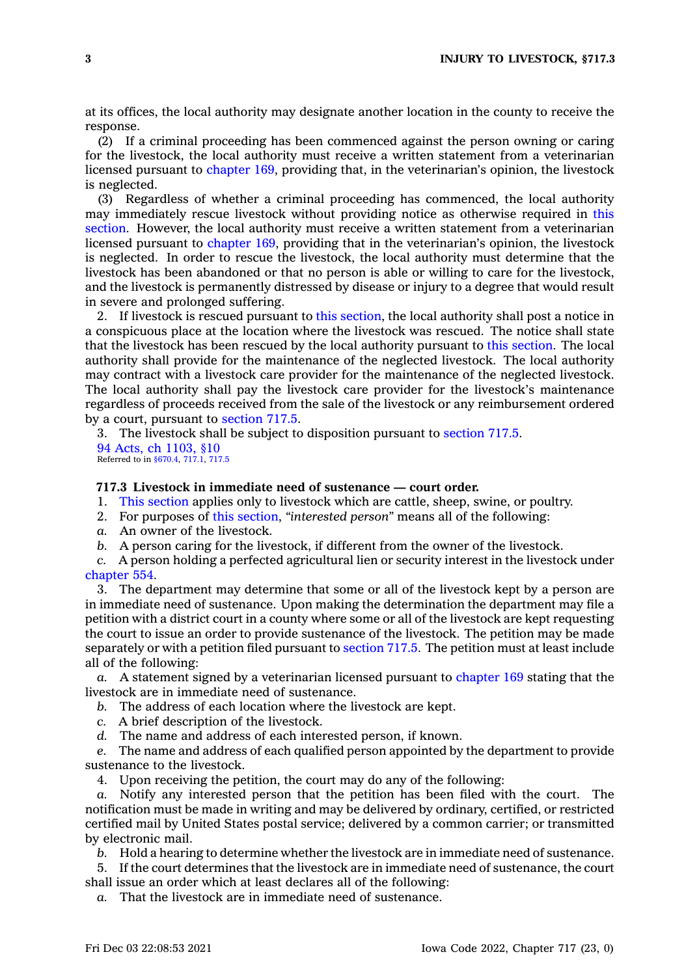at its offices, the local authority may designate another location in the county to receive the response.

(2) If <sup>a</sup> criminal proceeding has been commenced against the person owning or caring for the livestock, the local authority must receive <sup>a</sup> written statement from <sup>a</sup> veterinarian licensed pursuant to [chapter](https://www.legis.iowa.gov/docs/code//169.pdf) 169, providing that, in the veterinarian's opinion, the livestock is neglected.

(3) Regardless of whether <sup>a</sup> criminal proceeding has commenced, the local authority may immediately rescue livestock without providing notice as otherwise required in [this](https://www.legis.iowa.gov/docs/code/717.2A.pdf) [section](https://www.legis.iowa.gov/docs/code/717.2A.pdf). However, the local authority must receive <sup>a</sup> written statement from <sup>a</sup> veterinarian licensed pursuant to [chapter](https://www.legis.iowa.gov/docs/code//169.pdf) 169, providing that in the veterinarian's opinion, the livestock is neglected. In order to rescue the livestock, the local authority must determine that the livestock has been abandoned or that no person is able or willing to care for the livestock, and the livestock is permanently distressed by disease or injury to <sup>a</sup> degree that would result in severe and prolonged suffering.

2. If livestock is rescued pursuant to this [section](https://www.legis.iowa.gov/docs/code/717.2A.pdf), the local authority shall post <sup>a</sup> notice in <sup>a</sup> conspicuous place at the location where the livestock was rescued. The notice shall state that the livestock has been rescued by the local authority pursuant to this [section](https://www.legis.iowa.gov/docs/code/717.2A.pdf). The local authority shall provide for the maintenance of the neglected livestock. The local authority may contract with <sup>a</sup> livestock care provider for the maintenance of the neglected livestock. The local authority shall pay the livestock care provider for the livestock's maintenance regardless of proceeds received from the sale of the livestock or any reimbursement ordered by <sup>a</sup> court, pursuant to [section](https://www.legis.iowa.gov/docs/code/717.5.pdf) 717.5.

3. The livestock shall be subject to disposition pursuant to [section](https://www.legis.iowa.gov/docs/code/717.5.pdf) 717.5. 94 Acts, ch [1103,](https://www.legis.iowa.gov/docs/acts/1994/CH1103.pdf) §10 Referred to in [§670.4](https://www.legis.iowa.gov/docs/code/670.4.pdf), [717.1](https://www.legis.iowa.gov/docs/code/717.1.pdf), [717.5](https://www.legis.iowa.gov/docs/code/717.5.pdf)

# **717.3 Livestock in immediate need of sustenance — court order.**

1. This [section](https://www.legis.iowa.gov/docs/code/717.3.pdf) applies only to livestock which are cattle, sheep, swine, or poultry.

- 2. For purposes of this [section](https://www.legis.iowa.gov/docs/code/717.3.pdf), *"interested person"* means all of the following:
- *a.* An owner of the livestock.
- *b.* A person caring for the livestock, if different from the owner of the livestock.

*c.* A person holding <sup>a</sup> perfected agricultural lien or security interest in the livestock under [chapter](https://www.legis.iowa.gov/docs/code//554.pdf) 554.

3. The department may determine that some or all of the livestock kept by <sup>a</sup> person are in immediate need of sustenance. Upon making the determination the department may file <sup>a</sup> petition with <sup>a</sup> district court in <sup>a</sup> county where some or all of the livestock are kept requesting the court to issue an order to provide sustenance of the livestock. The petition may be made separately or with <sup>a</sup> petition filed pursuant to [section](https://www.legis.iowa.gov/docs/code/717.5.pdf) 717.5. The petition must at least include all of the following:

*a.* A statement signed by <sup>a</sup> veterinarian licensed pursuant to [chapter](https://www.legis.iowa.gov/docs/code//169.pdf) 169 stating that the livestock are in immediate need of sustenance.

- *b.* The address of each location where the livestock are kept.
- *c.* A brief description of the livestock.
- *d.* The name and address of each interested person, if known.

*e.* The name and address of each qualified person appointed by the department to provide sustenance to the livestock.

4. Upon receiving the petition, the court may do any of the following:

*a.* Notify any interested person that the petition has been filed with the court. The notification must be made in writing and may be delivered by ordinary, certified, or restricted certified mail by United States postal service; delivered by <sup>a</sup> common carrier; or transmitted by electronic mail.

*b.* Hold <sup>a</sup> hearing to determine whether the livestock are in immediate need of sustenance.

5. If the court determines that the livestock are in immediate need of sustenance, the court shall issue an order which at least declares all of the following:

*a.* That the livestock are in immediate need of sustenance.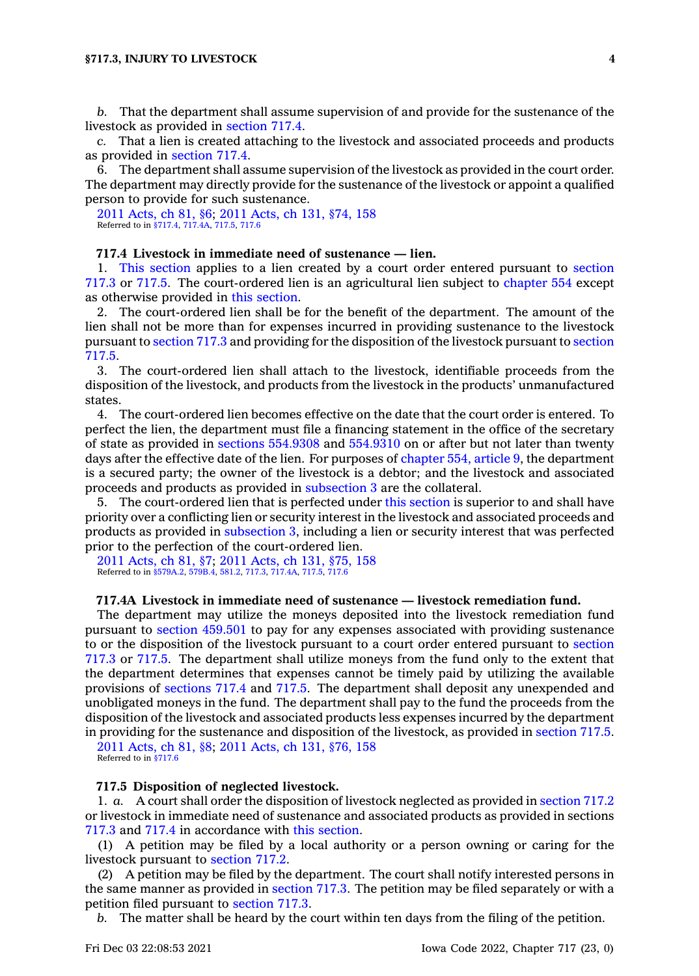*b.* That the department shall assume supervision of and provide for the sustenance of the livestock as provided in [section](https://www.legis.iowa.gov/docs/code/717.4.pdf) 717.4.

*c.* That <sup>a</sup> lien is created attaching to the livestock and associated proceeds and products as provided in [section](https://www.legis.iowa.gov/docs/code/717.4.pdf) 717.4.

6. The department shall assume supervision of the livestock as provided in the court order. The department may directly provide for the sustenance of the livestock or appoint <sup>a</sup> qualified person to provide for such sustenance.

2011 [Acts,](https://www.legis.iowa.gov/docs/acts/2011/CH0081.pdf) ch 81, §6; 2011 [Acts,](https://www.legis.iowa.gov/docs/acts/2011/CH0131.pdf) ch 131, §74, 158 Referred to in [§717.4](https://www.legis.iowa.gov/docs/code/717.4.pdf), [717.4A](https://www.legis.iowa.gov/docs/code/717.4A.pdf), [717.5](https://www.legis.iowa.gov/docs/code/717.5.pdf), [717.6](https://www.legis.iowa.gov/docs/code/717.6.pdf)

## **717.4 Livestock in immediate need of sustenance — lien.**

1. This [section](https://www.legis.iowa.gov/docs/code/717.4.pdf) applies to <sup>a</sup> lien created by <sup>a</sup> court order entered pursuant to [section](https://www.legis.iowa.gov/docs/code/717.3.pdf) [717.3](https://www.legis.iowa.gov/docs/code/717.3.pdf) or [717.5](https://www.legis.iowa.gov/docs/code/717.5.pdf). The court-ordered lien is an agricultural lien subject to [chapter](https://www.legis.iowa.gov/docs/code//554.pdf) 554 except as otherwise provided in this [section](https://www.legis.iowa.gov/docs/code/717.4.pdf).

2. The court-ordered lien shall be for the benefit of the department. The amount of the lien shall not be more than for expenses incurred in providing sustenance to the livestock pursuant to [section](https://www.legis.iowa.gov/docs/code/717.3.pdf) 717.3 and providing for the disposition of the livestock pursuant to [section](https://www.legis.iowa.gov/docs/code/717.5.pdf) [717.5](https://www.legis.iowa.gov/docs/code/717.5.pdf).

3. The court-ordered lien shall attach to the livestock, identifiable proceeds from the disposition of the livestock, and products from the livestock in the products' unmanufactured states.

4. The court-ordered lien becomes effective on the date that the court order is entered. To perfect the lien, the department must file <sup>a</sup> financing statement in the office of the secretary of state as provided in sections [554.9308](https://www.legis.iowa.gov/docs/code/554.9308.pdf) and [554.9310](https://www.legis.iowa.gov/docs/code/554.9310.pdf) on or after but not later than twenty days after the effective date of the lien. For purposes of [chapter](https://www.legis.iowa.gov/docs/code//554.pdf) 554, article 9, the department is <sup>a</sup> secured party; the owner of the livestock is <sup>a</sup> debtor; and the livestock and associated proceeds and products as provided in [subsection](https://www.legis.iowa.gov/docs/code/717.4.pdf) 3 are the collateral.

5. The court-ordered lien that is perfected under this [section](https://www.legis.iowa.gov/docs/code/717.4.pdf) is superior to and shall have priority over <sup>a</sup> conflicting lien or security interest in the livestock and associated proceeds and products as provided in [subsection](https://www.legis.iowa.gov/docs/code/717.4.pdf) 3, including <sup>a</sup> lien or security interest that was perfected prior to the perfection of the court-ordered lien.

2011 [Acts,](https://www.legis.iowa.gov/docs/acts/2011/CH0081.pdf) ch 81, §7; 2011 [Acts,](https://www.legis.iowa.gov/docs/acts/2011/CH0131.pdf) ch 131, §75, 158 Referred to in [§579A.2,](https://www.legis.iowa.gov/docs/code/579A.2.pdf) [579B.4](https://www.legis.iowa.gov/docs/code/579B.4.pdf), [581.2](https://www.legis.iowa.gov/docs/code/581.2.pdf), [717.3](https://www.legis.iowa.gov/docs/code/717.3.pdf), [717.4A](https://www.legis.iowa.gov/docs/code/717.4A.pdf), [717.5](https://www.legis.iowa.gov/docs/code/717.5.pdf), [717.6](https://www.legis.iowa.gov/docs/code/717.6.pdf)

#### **717.4A Livestock in immediate need of sustenance — livestock remediation fund.**

The department may utilize the moneys deposited into the livestock remediation fund pursuant to section [459.501](https://www.legis.iowa.gov/docs/code/459.501.pdf) to pay for any expenses associated with providing sustenance to or the disposition of the livestock pursuant to <sup>a</sup> court order entered pursuant to [section](https://www.legis.iowa.gov/docs/code/717.3.pdf) [717.3](https://www.legis.iowa.gov/docs/code/717.3.pdf) or [717.5](https://www.legis.iowa.gov/docs/code/717.5.pdf). The department shall utilize moneys from the fund only to the extent that the department determines that expenses cannot be timely paid by utilizing the available provisions of [sections](https://www.legis.iowa.gov/docs/code/717.4.pdf) 717.4 and [717.5](https://www.legis.iowa.gov/docs/code/717.5.pdf). The department shall deposit any unexpended and unobligated moneys in the fund. The department shall pay to the fund the proceeds from the disposition of the livestock and associated products less expenses incurred by the department in providing for the sustenance and disposition of the livestock, as provided in [section](https://www.legis.iowa.gov/docs/code/717.5.pdf) 717.5.

2011 [Acts,](https://www.legis.iowa.gov/docs/acts/2011/CH0081.pdf) ch 81, §8; 2011 [Acts,](https://www.legis.iowa.gov/docs/acts/2011/CH0131.pdf) ch 131, §76, 158 Referred to in [§717.6](https://www.legis.iowa.gov/docs/code/717.6.pdf)

#### **717.5 Disposition of neglected livestock.**

1. *a.* A court shall order the disposition of livestock neglected as provided in [section](https://www.legis.iowa.gov/docs/code/717.2.pdf) 717.2 or livestock in immediate need of sustenance and associated products as provided in sections [717.3](https://www.legis.iowa.gov/docs/code/717.3.pdf) and [717.4](https://www.legis.iowa.gov/docs/code/717.4.pdf) in accordance with this [section](https://www.legis.iowa.gov/docs/code/717.5.pdf).

(1) A petition may be filed by <sup>a</sup> local authority or <sup>a</sup> person owning or caring for the livestock pursuant to [section](https://www.legis.iowa.gov/docs/code/717.2.pdf) 717.2.

(2) A petition may be filed by the department. The court shall notify interested persons in the same manner as provided in [section](https://www.legis.iowa.gov/docs/code/717.3.pdf) 717.3. The petition may be filed separately or with <sup>a</sup> petition filed pursuant to [section](https://www.legis.iowa.gov/docs/code/717.3.pdf) 717.3.

*b.* The matter shall be heard by the court within ten days from the filing of the petition.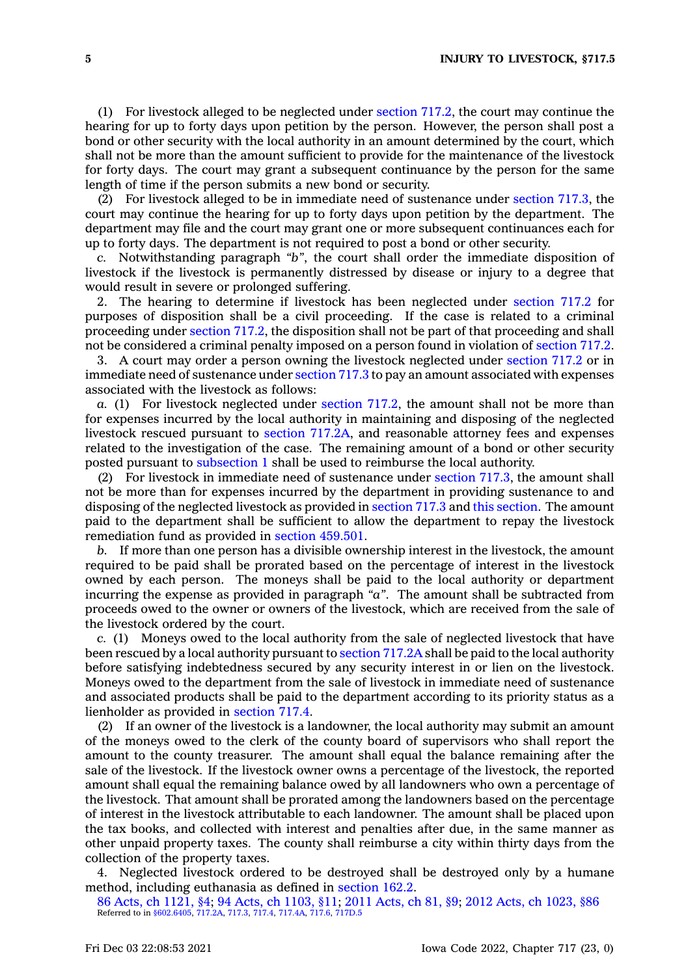(1) For livestock alleged to be neglected under [section](https://www.legis.iowa.gov/docs/code/717.2.pdf) 717.2, the court may continue the hearing for up to forty days upon petition by the person. However, the person shall post <sup>a</sup> bond or other security with the local authority in an amount determined by the court, which shall not be more than the amount sufficient to provide for the maintenance of the livestock for forty days. The court may grant <sup>a</sup> subsequent continuance by the person for the same length of time if the person submits <sup>a</sup> new bond or security.

(2) For livestock alleged to be in immediate need of sustenance under [section](https://www.legis.iowa.gov/docs/code/717.3.pdf) 717.3, the court may continue the hearing for up to forty days upon petition by the department. The department may file and the court may grant one or more subsequent continuances each for up to forty days. The department is not required to post <sup>a</sup> bond or other security.

*c.* Notwithstanding paragraph *"b"*, the court shall order the immediate disposition of livestock if the livestock is permanently distressed by disease or injury to <sup>a</sup> degree that would result in severe or prolonged suffering.

2. The hearing to determine if livestock has been neglected under [section](https://www.legis.iowa.gov/docs/code/717.2.pdf) 717.2 for purposes of disposition shall be <sup>a</sup> civil proceeding. If the case is related to <sup>a</sup> criminal proceeding under [section](https://www.legis.iowa.gov/docs/code/717.2.pdf) 717.2, the disposition shall not be part of that proceeding and shall not be considered <sup>a</sup> criminal penalty imposed on <sup>a</sup> person found in violation of [section](https://www.legis.iowa.gov/docs/code/717.2.pdf) 717.2.

3. A court may order <sup>a</sup> person owning the livestock neglected under [section](https://www.legis.iowa.gov/docs/code/717.2.pdf) 717.2 or in immediate need of sustenance under [section](https://www.legis.iowa.gov/docs/code/717.3.pdf) 717.3 to pay an amount associated with expenses associated with the livestock as follows:

*a.* (1) For livestock neglected under [section](https://www.legis.iowa.gov/docs/code/717.2.pdf) 717.2, the amount shall not be more than for expenses incurred by the local authority in maintaining and disposing of the neglected livestock rescued pursuant to section [717.2A](https://www.legis.iowa.gov/docs/code/717.2A.pdf), and reasonable attorney fees and expenses related to the investigation of the case. The remaining amount of <sup>a</sup> bond or other security posted pursuant to [subsection](https://www.legis.iowa.gov/docs/code/717.5.pdf) 1 shall be used to reimburse the local authority.

(2) For livestock in immediate need of sustenance under [section](https://www.legis.iowa.gov/docs/code/717.3.pdf) 717.3, the amount shall not be more than for expenses incurred by the department in providing sustenance to and disposing of the neglected livestock as provided in [section](https://www.legis.iowa.gov/docs/code/717.3.pdf) 717.3 and this [section](https://www.legis.iowa.gov/docs/code/717.5.pdf). The amount paid to the department shall be sufficient to allow the department to repay the livestock remediation fund as provided in section [459.501](https://www.legis.iowa.gov/docs/code/459.501.pdf).

*b.* If more than one person has <sup>a</sup> divisible ownership interest in the livestock, the amount required to be paid shall be prorated based on the percentage of interest in the livestock owned by each person. The moneys shall be paid to the local authority or department incurring the expense as provided in paragraph *"a"*. The amount shall be subtracted from proceeds owed to the owner or owners of the livestock, which are received from the sale of the livestock ordered by the court.

*c.* (1) Moneys owed to the local authority from the sale of neglected livestock that have been rescued by <sup>a</sup> local authority pursuant to [section](https://www.legis.iowa.gov/docs/code/717.2A.pdf) 717.2A shall be paid to the local authority before satisfying indebtedness secured by any security interest in or lien on the livestock. Moneys owed to the department from the sale of livestock in immediate need of sustenance and associated products shall be paid to the department according to its priority status as <sup>a</sup> lienholder as provided in [section](https://www.legis.iowa.gov/docs/code/717.4.pdf) 717.4.

(2) If an owner of the livestock is <sup>a</sup> landowner, the local authority may submit an amount of the moneys owed to the clerk of the county board of supervisors who shall report the amount to the county treasurer. The amount shall equal the balance remaining after the sale of the livestock. If the livestock owner owns <sup>a</sup> percentage of the livestock, the reported amount shall equal the remaining balance owed by all landowners who own <sup>a</sup> percentage of the livestock. That amount shall be prorated among the landowners based on the percentage of interest in the livestock attributable to each landowner. The amount shall be placed upon the tax books, and collected with interest and penalties after due, in the same manner as other unpaid property taxes. The county shall reimburse <sup>a</sup> city within thirty days from the collection of the property taxes.

4. Neglected livestock ordered to be destroyed shall be destroyed only by <sup>a</sup> humane method, including euthanasia as defined in [section](https://www.legis.iowa.gov/docs/code/162.2.pdf) 162.2.

86 Acts, ch [1121,](https://www.legis.iowa.gov/docs/acts/1986/CH1121.pdf) §4; 94 Acts, ch [1103,](https://www.legis.iowa.gov/docs/acts/94/CH1103.pdf) §11; 2011 [Acts,](https://www.legis.iowa.gov/docs/acts/2011/CH0081.pdf) ch 81, §9; 2012 Acts, ch [1023,](https://www.legis.iowa.gov/docs/acts/2012/CH1023.pdf) §86 Referred to in [§602.6405](https://www.legis.iowa.gov/docs/code/602.6405.pdf), [717.2A,](https://www.legis.iowa.gov/docs/code/717.2A.pdf) [717.3](https://www.legis.iowa.gov/docs/code/717.3.pdf), [717.4](https://www.legis.iowa.gov/docs/code/717.4.pdf), [717.4A](https://www.legis.iowa.gov/docs/code/717.4A.pdf), [717.6](https://www.legis.iowa.gov/docs/code/717.6.pdf), [717D.5](https://www.legis.iowa.gov/docs/code/717D.5.pdf)